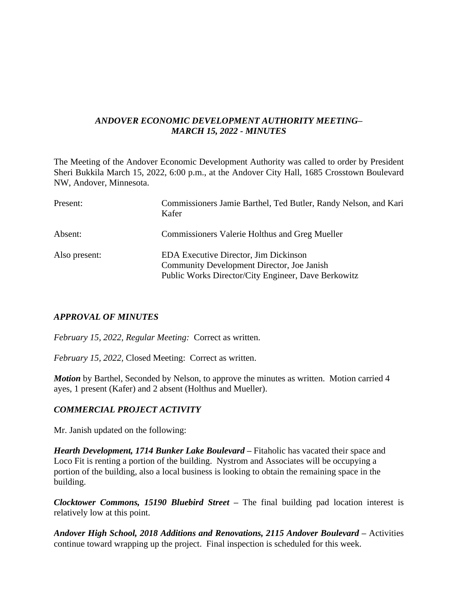# *ANDOVER ECONOMIC DEVELOPMENT AUTHORITY MEETING– MARCH 15, 2022 - MINUTES*

The Meeting of the Andover Economic Development Authority was called to order by President Sheri Bukkila March 15, 2022, 6:00 p.m., at the Andover City Hall, 1685 Crosstown Boulevard NW, Andover, Minnesota.

| Present:      | Commissioners Jamie Barthel, Ted Butler, Randy Nelson, and Kari<br>Kafer                                                                   |
|---------------|--------------------------------------------------------------------------------------------------------------------------------------------|
| Absent:       | <b>Commissioners Valerie Holthus and Greg Mueller</b>                                                                                      |
| Also present: | EDA Executive Director, Jim Dickinson<br>Community Development Director, Joe Janish<br>Public Works Director/City Engineer, Dave Berkowitz |

# *APPROVAL OF MINUTES*

*February 15, 2022, Regular Meeting:* Correct as written.

*February 15, 2022,* Closed Meeting: Correct as written.

*Motion* by Barthel, Seconded by Nelson, to approve the minutes as written. Motion carried 4 ayes, 1 present (Kafer) and 2 absent (Holthus and Mueller).

# *COMMERCIAL PROJECT ACTIVITY*

Mr. Janish updated on the following:

*Hearth Development, 1714 Bunker Lake Boulevard –* Fitaholic has vacated their space and Loco Fit is renting a portion of the building. Nystrom and Associates will be occupying a portion of the building, also a local business is looking to obtain the remaining space in the building.

*Clocktower Commons, 15190 Bluebird Street –* The final building pad location interest is relatively low at this point.

*Andover High School, 2018 Additions and Renovations, 2115 Andover Boulevard –* Activities continue toward wrapping up the project. Final inspection is scheduled for this week.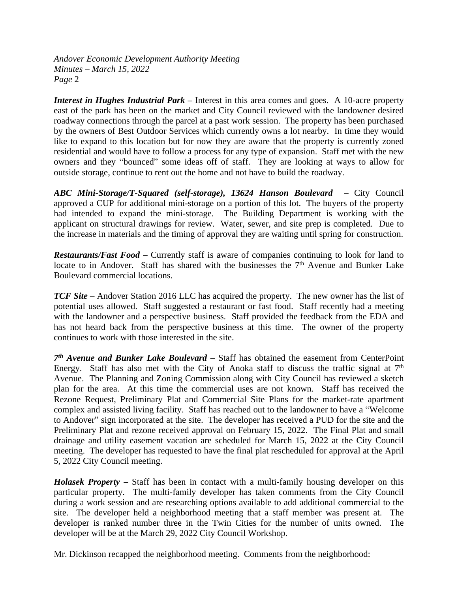*Interest in Hughes Industrial Park –* Interest in this area comes and goes. A 10-acre property east of the park has been on the market and City Council reviewed with the landowner desired roadway connections through the parcel at a past work session. The property has been purchased by the owners of Best Outdoor Services which currently owns a lot nearby. In time they would like to expand to this location but for now they are aware that the property is currently zoned residential and would have to follow a process for any type of expansion. Staff met with the new owners and they "bounced" some ideas off of staff. They are looking at ways to allow for outside storage, continue to rent out the home and not have to build the roadway.

*ABC Mini-Storage/T-Squared (self-storage), 13624 Hanson Boulevard –* City Council approved a CUP for additional mini-storage on a portion of this lot. The buyers of the property had intended to expand the mini-storage. The Building Department is working with the applicant on structural drawings for review. Water, sewer, and site prep is completed. Due to the increase in materials and the timing of approval they are waiting until spring for construction.

*Restaurants/Fast Food –* Currently staff is aware of companies continuing to look for land to locate to in Andover. Staff has shared with the businesses the 7<sup>th</sup> Avenue and Bunker Lake Boulevard commercial locations.

*TCF Site* – Andover Station 2016 LLC has acquired the property. The new owner has the list of potential uses allowed. Staff suggested a restaurant or fast food. Staff recently had a meeting with the landowner and a perspective business. Staff provided the feedback from the EDA and has not heard back from the perspective business at this time. The owner of the property continues to work with those interested in the site.

*7 th Avenue and Bunker Lake Boulevard –* Staff has obtained the easement from CenterPoint Energy. Staff has also met with the City of Anoka staff to discuss the traffic signal at  $7<sup>th</sup>$ Avenue. The Planning and Zoning Commission along with City Council has reviewed a sketch plan for the area. At this time the commercial uses are not known. Staff has received the Rezone Request, Preliminary Plat and Commercial Site Plans for the market-rate apartment complex and assisted living facility. Staff has reached out to the landowner to have a "Welcome to Andover" sign incorporated at the site. The developer has received a PUD for the site and the Preliminary Plat and rezone received approval on February 15, 2022. The Final Plat and small drainage and utility easement vacation are scheduled for March 15, 2022 at the City Council meeting. The developer has requested to have the final plat rescheduled for approval at the April 5, 2022 City Council meeting.

*Holasek Property –* Staff has been in contact with a multi-family housing developer on this particular property. The multi-family developer has taken comments from the City Council during a work session and are researching options available to add additional commercial to the site. The developer held a neighborhood meeting that a staff member was present at. The developer is ranked number three in the Twin Cities for the number of units owned. The developer will be at the March 29, 2022 City Council Workshop.

Mr. Dickinson recapped the neighborhood meeting. Comments from the neighborhood: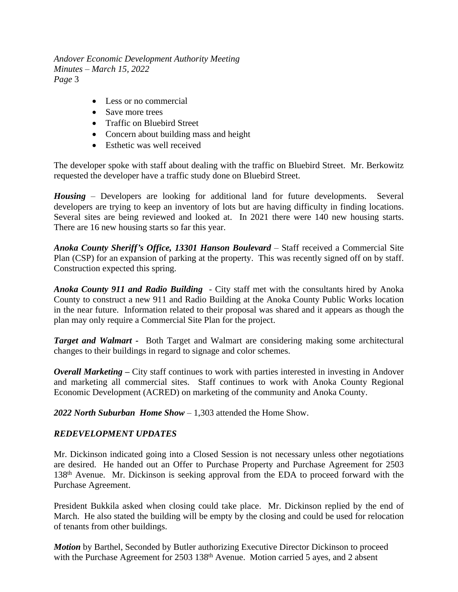- Less or no commercial
- Save more trees
- Traffic on Bluebird Street
- Concern about building mass and height
- Esthetic was well received

The developer spoke with staff about dealing with the traffic on Bluebird Street. Mr. Berkowitz requested the developer have a traffic study done on Bluebird Street.

*Housing* – Developers are looking for additional land for future developments. Several developers are trying to keep an inventory of lots but are having difficulty in finding locations. Several sites are being reviewed and looked at. In 2021 there were 140 new housing starts. There are 16 new housing starts so far this year.

*Anoka County Sheriff's Office, 13301 Hanson Boulevard* – Staff received a Commercial Site Plan (CSP) for an expansion of parking at the property. This was recently signed off on by staff. Construction expected this spring.

*Anoka County 911 and Radio Building* - City staff met with the consultants hired by Anoka County to construct a new 911 and Radio Building at the Anoka County Public Works location in the near future. Information related to their proposal was shared and it appears as though the plan may only require a Commercial Site Plan for the project.

*Target and Walmart -* Both Target and Walmart are considering making some architectural changes to their buildings in regard to signage and color schemes.

*Overall Marketing* – City staff continues to work with parties interested in investing in Andover and marketing all commercial sites. Staff continues to work with Anoka County Regional Economic Development (ACRED) on marketing of the community and Anoka County.

*2022 North Suburban Home Show* – 1,303 attended the Home Show.

# *REDEVELOPMENT UPDATES*

Mr. Dickinson indicated going into a Closed Session is not necessary unless other negotiations are desired. He handed out an Offer to Purchase Property and Purchase Agreement for 2503 138th Avenue. Mr. Dickinson is seeking approval from the EDA to proceed forward with the Purchase Agreement.

President Bukkila asked when closing could take place. Mr. Dickinson replied by the end of March. He also stated the building will be empty by the closing and could be used for relocation of tenants from other buildings.

*Motion* by Barthel, Seconded by Butler authorizing Executive Director Dickinson to proceed with the Purchase Agreement for 2503 138<sup>th</sup> Avenue. Motion carried 5 ayes, and 2 absent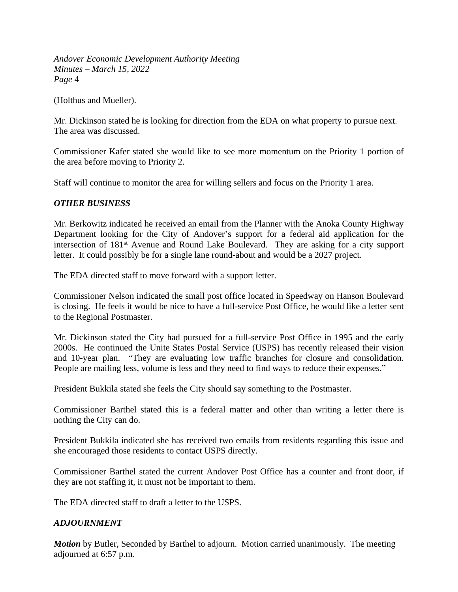(Holthus and Mueller).

Mr. Dickinson stated he is looking for direction from the EDA on what property to pursue next. The area was discussed.

Commissioner Kafer stated she would like to see more momentum on the Priority 1 portion of the area before moving to Priority 2.

Staff will continue to monitor the area for willing sellers and focus on the Priority 1 area.

# *OTHER BUSINESS*

Mr. Berkowitz indicated he received an email from the Planner with the Anoka County Highway Department looking for the City of Andover's support for a federal aid application for the intersection of 181st Avenue and Round Lake Boulevard. They are asking for a city support letter. It could possibly be for a single lane round-about and would be a 2027 project.

The EDA directed staff to move forward with a support letter.

Commissioner Nelson indicated the small post office located in Speedway on Hanson Boulevard is closing. He feels it would be nice to have a full-service Post Office, he would like a letter sent to the Regional Postmaster.

Mr. Dickinson stated the City had pursued for a full-service Post Office in 1995 and the early 2000s. He continued the Unite States Postal Service (USPS) has recently released their vision and 10-year plan. "They are evaluating low traffic branches for closure and consolidation. People are mailing less, volume is less and they need to find ways to reduce their expenses."

President Bukkila stated she feels the City should say something to the Postmaster.

Commissioner Barthel stated this is a federal matter and other than writing a letter there is nothing the City can do.

President Bukkila indicated she has received two emails from residents regarding this issue and she encouraged those residents to contact USPS directly.

Commissioner Barthel stated the current Andover Post Office has a counter and front door, if they are not staffing it, it must not be important to them.

The EDA directed staff to draft a letter to the USPS.

# *ADJOURNMENT*

*Motion* by Butler, Seconded by Barthel to adjourn. Motion carried unanimously. The meeting adjourned at 6:57 p.m.